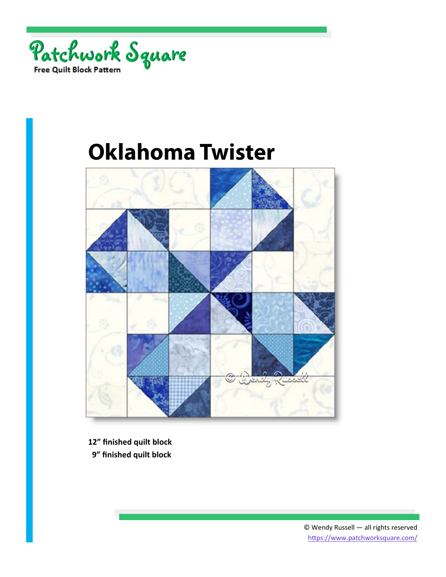



**12" finished quilt block** 

 **9" finished quilt block**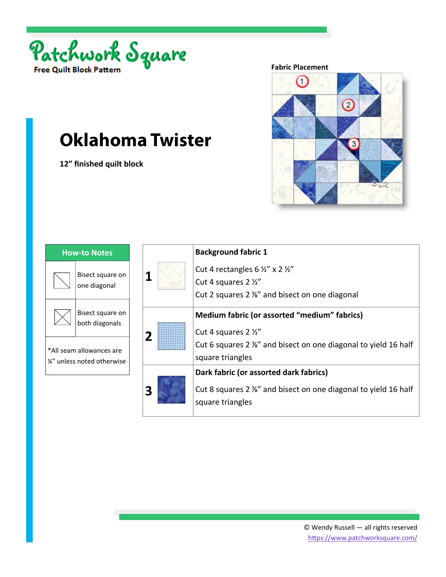

**12" finished quilt block** 

#### **Fabric Placement**



| <b>How-to Notes</b> |                                                         |  |
|---------------------|---------------------------------------------------------|--|
|                     | Bisect square on<br>one diagonal                        |  |
|                     | Bisect square on<br>both diagonals                      |  |
|                     | *All seam allowances are<br>1/4" unless noted otherwise |  |

|   | <b>Background fabric 1</b>                                     |
|---|----------------------------------------------------------------|
|   | Cut 4 rectangles 6 $\frac{1}{2}$ " x 2 $\frac{1}{2}$ "         |
|   | Cut 4 squares 2 1/2"                                           |
|   | Cut 2 squares 2 %" and bisect on one diagonal                  |
|   | Medium fabric (or assorted "medium" fabrics)                   |
| 2 | Cut 4 squares 2 1/2"                                           |
|   | Cut 6 squares 2 %" and bisect on one diagonal to yield 16 half |
|   | square triangles                                               |
|   | Dark fabric (or assorted dark fabrics)                         |
| 3 | Cut 8 squares 2 %" and bisect on one diagonal to yield 16 half |
|   | square triangles                                               |
|   |                                                                |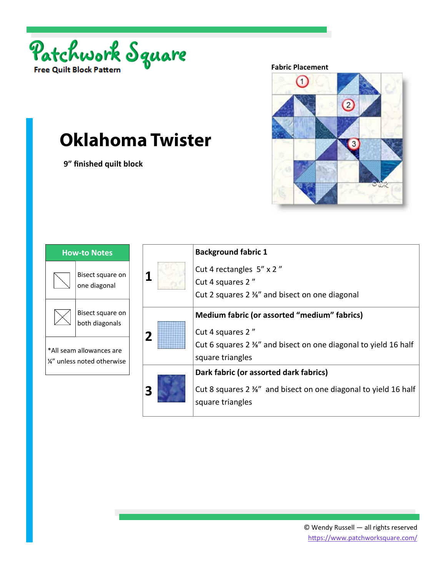

 **9" finished quilt block** 

#### **Fabric Placement**



| <b>How-to Notes</b> |                                                         |  |
|---------------------|---------------------------------------------------------|--|
|                     | Bisect square on<br>one diagonal                        |  |
|                     | Bisect square on<br>both diagonals                      |  |
|                     | *All seam allowances are<br>1/4" unless noted otherwise |  |

|                         | <b>Background fabric 1</b>                                     |
|-------------------------|----------------------------------------------------------------|
|                         | Cut 4 rectangles 5" x 2"                                       |
|                         | Cut 4 squares 2"                                               |
|                         | Cut 2 squares 2 $\frac{3}{8}$ " and bisect on one diagonal     |
|                         | Medium fabric (or assorted "medium" fabrics)                   |
| $\overline{\mathbf{2}}$ | Cut 4 squares 2"                                               |
|                         | Cut 6 squares 2 %" and bisect on one diagonal to yield 16 half |
|                         | square triangles                                               |
|                         | Dark fabric (or assorted dark fabrics)                         |
|                         | Cut 8 squares 2 %" and bisect on one diagonal to yield 16 half |
|                         | square triangles                                               |
|                         |                                                                |